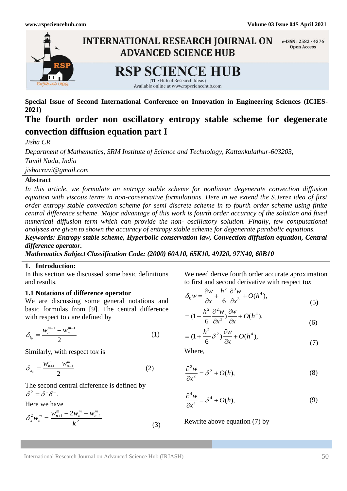

**Special Issue of Second International Conference on Innovation in Engineering Sciences (ICIES-2021)**

# **The fourth order non oscillatory entropy stable scheme for degenerate convection diffusion equation part I**

*Jisha CR*

*Department of Mathematics, SRM Institute of Science and Technology, Kattankulathur-603203, Tamil Nadu, India jishacravi@gmail.com*

# **Abstract**

*In this article, we formulate an entropy stable scheme for nonlinear degenerate convection diffusion equation with viscous terms in non-conservative formulations. Here in we extend the S.Jerez idea of first order entropy stable convection scheme for semi discrete scheme in to fourth order scheme using finite central difference scheme. Major advantage of this work is fourth order accuracy of the solution and fixed numerical diffusion term which can provide the non- oscillatory solution. Finally, few computational analyses are given to shown the accuracy of entropy stable scheme for degenerate parabolic equations. Keywords: Entropy stable scheme, Hyperbolic conservation law, Convection diffusion equation, Central difference operator.* 

*Mathematics Subject Classification Code: (2000) 60A10, 65K10, 49J20, 97N40, 60B10*

# **1. Introduction:**

In this section we discussed some basic definitions and results.

### **1.1 Notations of difference operator**

We are discussing some general notations and basic formulas from [9]. The central difference with respect to *t* are defined by

$$
\delta_{t_0} = \frac{w_n^{m+1} - w_n^{m-1}}{2} \tag{1}
$$

Similarly, with respect to*x* is

$$
\delta_{x_0} = \frac{w_{n+1}^m - w_{n-1}^m}{2} \tag{2}
$$

The second central difference is defined by  $\delta^2 = \delta^+ \delta^-.$ 

Here we have

$$
\delta_x^2 w_n^m = \frac{w_{n+1}^m - 2w_n^m + w_{n-1}^m}{k^2}
$$
 (3)

We need derive fourth order accurate aproximation to first and second derivative with respect to*x*

$$
\delta_0 w = \frac{\partial w}{\partial x} + \frac{h^2}{6} \frac{\partial^3 w}{\partial x^3} + O(h^4),\tag{5}
$$

$$
= (1 + \frac{h^2}{6} \frac{\partial^2 w}{\partial x^2}) \frac{\partial w}{\partial x} + O(h^4),
$$
\n(6)

$$
= (1 + \frac{h^2}{6} \delta^2) \frac{\partial w}{\partial x} + O(h^4), \tag{7}
$$

Where,

$$
\frac{\partial^2 w}{\partial x^2} = \delta^2 + O(h),\tag{8}
$$

$$
\frac{\partial^4 w}{\partial x^4} = \delta^4 + O(h),\tag{9}
$$

Rewrite above equation (7) by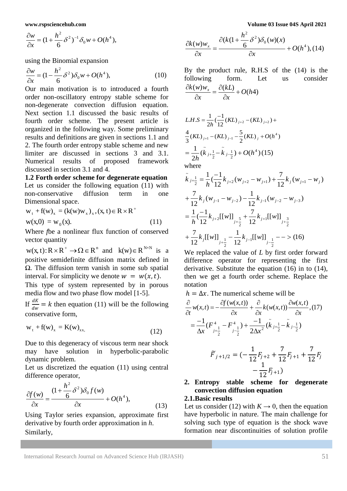$$
\frac{\partial w}{\partial x} = (1 + \frac{h^2}{6} \delta^2)^{-1} \delta_0 w + O(h^4),
$$

using the Binomial expansion

$$
\frac{\partial w}{\partial x} = (1 - \frac{h^2}{6} \delta^2) \delta_0 w + O(h^4),\tag{10}
$$

Our main motivation is to introduced a fourth order non-oscillatory entropy stable scheme for non-degenerate convection diffusion equation. Next section 1.1 discussed the basic results of fourth order scheme. The present article is organized in the following way. Some preliminary results and definitions are given in sections 1.1 and 2. The fourth order entropy stable scheme and new limiter are discussed in sections 3 and 3.1. Numerical results of proposed framework discussed in section 3.1 and 4.

**1.2 Forth order scheme for degenerate equation** Let us consider the following equation (11) with non-conservative diffusion term in one Dimensional space.

$$
w_{t} + f(w)_{x} = (k(w)w_{x})_{x}, (x, t) \in R \times R^{+}
$$
  
w(x,0) = w<sub>0</sub>(x). (11)

Where *f*be a nonlinear flux function of conserved vector quantity

 $w(x, t): R \times R^+ \to \Omega \in R^n$  and  $k(w) \in R^{N \times N}$  is a positive semidefinite diffusion matrix defined in Ω. The diffusion term vanish in some sub spatial interval. For simplicity we denote  $w = w(x,t)$ .

This type of system represented by in porous media flow and two phase flow model [1-5].

If  $\frac{dK}{dw} = k$  then equation (11) will be the following conservative form,

$$
w_t + f(w)_x = K(w)_{xx}, \qquad (12)
$$

Due to this degeneracy of viscous term near shock may have solution in hyperbolic-parabolic dynamic problem.

Let us discretized the equation (11) using central difference operator,

$$
\frac{\partial f(w)}{\partial x} = \frac{(1 + \frac{h^2}{6} \delta^2) \delta_0 f(w)}{\partial x} + O(h^4),\tag{13}
$$

 Using Taylor series expansion, approximate first derivative by fourth order approximation in *h*. Similarly,

$$
\frac{\partial k(w)w_x}{\partial x} = \frac{\partial (k(1 + \frac{h^2}{6}\delta^2)\delta_0(w)(x))}{\partial x} + O(h^4), (14)
$$

By the product rule, R.H.S of the (14) is the following form. Let us consider  $\frac{(w)w_x}{2} = \frac{\partial (kL)}{\partial} + O(h4)$ *x kL x*  $\frac{k(w)w_x}{2} = \frac{\partial(kL)}{\partial(k)} +$  $\partial$  $=\frac{\partial}{\partial x}$  $\partial$  $\partial$ 

$$
L.H.S = \frac{1}{2h} \left( \frac{-1}{12} (KL)_{j+2} - (KL)_{j+2} \right) +
$$
  

$$
\frac{4}{3} (KL)_{j+1} - (KL)_{j-1} - \frac{5}{2} (KL)_{j} + O(h^4)
$$
  

$$
= \frac{1}{2h} (\tilde{k}_{j+\frac{1}{2}} - \tilde{k}_{j-\frac{1}{2}}) + O(h^4) (15)
$$

where

$$
\tilde{k}_{j+\frac{1}{2}} = \frac{1}{h} \left( \frac{-1}{12} k_{j+2} (w_{j+2} - w_{j+1}) + \frac{7}{12} k_{j} (w_{j+1} - w_{j}) \right)
$$
  
+ 
$$
\frac{7}{12} k_{j} (w_{j-1} - w_{j-2}) - \frac{1}{12} k_{j-1} (w_{j-2} - w_{j-3})
$$
  
= 
$$
\frac{1}{h} \left( \frac{-1}{12} k_{j+2} [[w]]_{j+\frac{5}{2}} + \frac{7}{12} k_{j+1} [[w]]_{j+\frac{3}{2}}
$$
  
+ 
$$
\frac{7}{12} k_{j} [[w]]_{j+\frac{1}{2}} - \frac{1}{12} k_{j-1} [[w]]_{j-\frac{1}{2}} - \cdots
$$
 (16)

We replaced the value of *L* by first order forward difference operator for representing the first derivative. Substitute the equation (16) in to (14), then we get a fourth order scheme. Replace the notation

 $h = \Delta x$ . The numerical scheme will be

$$
\frac{\partial}{\partial t} w(x,t) = -\frac{\partial f(w(x,t))}{\partial x} + \frac{\partial}{\partial x} k(w(x,t)) \frac{\partial w(x,t)}{\partial x}, (17) \n= \frac{-1}{\Delta x} (F_{j+\frac{1}{2}}^4 - F_{j-\frac{1}{2}}^4) + \frac{-1}{2\Delta x^2} (\tilde{k}_{j+\frac{1}{2}} - \tilde{k}_{j-\frac{1}{2}})
$$

$$
\widetilde{F}_{j+1/2} = \left(-\frac{1}{12}F_{j+2} + \frac{7}{12}F_{j+1} + \frac{7}{12}F_j - \frac{1}{12}F_{j+1}\right)
$$

# **2. Entropy stable scheme for degenerate convection diffusion equation**

### **2.1.Basic results**

Let us consider (12) with  $K \rightarrow 0$ , then the equation have hyperbolic in nature. The main challenge for solving such type of equation is the shock wave formation near discontinuities of solution profile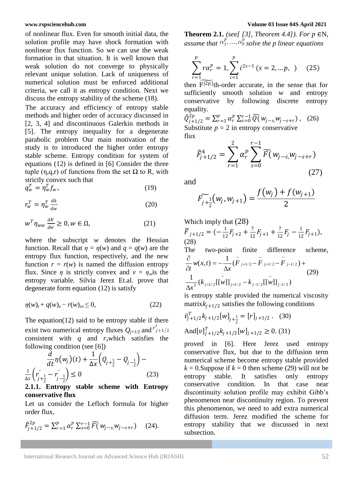of nonlinear flux. Even for smooth initial data, the solution profile may have shock formation with nonlinear flux function. So we can use the weak formation in that situation. It is well known that weak solution do not converge to physically relevant unique solution. Lack of uniqueness of numerical solution must be enforced additional criteria, we call it as entropy condition. Next we discuss the entropy stability of the scheme (18).

The accuracy and efficiency of entropy stable methods and higher order of accuracy discussed in [2, 3, 4] and discontinuous Galerkin methods in [5]. The entropy inequality for a degenerate parabolic problem Our main motivation of the study is to introduced the higher order entropy stable scheme. Entropy condition for system of equations (12) is defined in [6] Consider the three tuple (η, α, r) of functions from the set  $Ω$  to R, with strictly convex such that

$$
q_w^T = \eta_w^T f_w,\tag{19}
$$

$$
r_w^T = \eta_w^T \frac{dk}{dw} \tag{20}
$$

$$
w^T \eta_{ww} \frac{dK}{dw} \ge 0, w \in \Omega,
$$
 (21)

where the subscript *w* denotes the Hessian function. Recall that  $\eta = \eta(w)$  and  $q = q(w)$  are the entropy flux function, respectively, and the new function  $r = r(w)$  is named the diffusion entropy flux. Since  $\eta$  is strictly convex and  $v = \eta_w$  is the entropy variable. Silvia Jerez Et.al. prove that degenerate form equation (12) is satisfy

$$
\eta(w)_t + q(w)_x - r(w)_{xx} \le 0, \tag{22}
$$

The equation(12) said to be entropy stable if there exist two numerical entropy fluxes  $Q_{j+1/2}$  and  $r'_{j+1/2}$ consistent with *q* and  $r_x$ which satisfies the following condition (see [6])

$$
\frac{d}{dt}\eta(w_j)(t) + \frac{1}{\Delta x}\left(Q_{j+\frac{1}{2}} - Q_{j-\frac{1}{2}}\right) - \frac{1}{\Delta x}\left(r'_{j+\frac{1}{2}} - r'_{j-\frac{1}{2}}\right) \le 0
$$
\n(23)

# **2.1.1. Entropy stable scheme with Entropy conservative flux**

Let us consider the Lefloch formula for higher order flux,

$$
\tilde{F}_{j+1/2}^{2p} = \sum_{r=1}^{p} \alpha_r^p \sum_{s=0}^{r-1} \widetilde{F}(w_{j-s,} w_{j-s+r}) \quad (24).
$$

**Theorem 2.1.** *(see[ [3], Theorem 4.4]). For p* ∈N*, assume that*  $\alpha_1^p, ..., \alpha_p^p$  *solve the p linear equations* 

$$
\sum_{r=1}^{p} r \alpha_r^p = 1, \sum_{i=1}^{p} i^{2s-1} (s = 2, \dots p, ) \quad (25)
$$

then  $\widehat{F^{2p}}$ th-order accurate, in the sense that for sufficiently smooth solution w and entropy conservative by following discrete entropy equality.

 $\tilde{Q}_{j+1/2}^{2p} = \sum_{r=1}^{p} \alpha_r^p \sum_{s=0}^{r-1} \widetilde{Q}(\mathbf{w}_{j-s}, \mathbf{w}_{j-s+r})$  $_{r=1}^{\rho} \alpha_r^{\rho} \sum_{s=0}^{r-1} Q(w_{j-s,} w_{j-s+r}),$  (26) Substitute  $p = 2$  in entropy conservative flux

$$
\tilde{F}_{j+1/2}^4 = \sum_{r=1}^2 \alpha_r^p \sum_{s=0}^{r-1} \widetilde{F}(w_{j-s,} w_{j-s+r})
$$
\n(27)

and

$$
\widetilde{F_{j+\frac{1}{2}}}(w_j,w_{j+1})=\frac{f(w_j)+f(w_{j+1})}{2}
$$

Which imply that (28)  
\n
$$
\widetilde{F}_{j+1/2} = \left(-\frac{1}{12}F_{j+2} + \frac{7}{12}F_{j+1} + \frac{7}{12}F_j - \frac{1}{12}F_{j+1}\right),
$$
\n(28)

The two-point finite difference scheme,

$$
\frac{\partial}{\partial t} w(x,t) = -\frac{1}{\Delta x} (\tilde{F}_{j+1/2} - \tilde{F}_{j+1/2} - \tilde{F}_{j-1/2}) +
$$
\n
$$
\frac{1}{\Delta x^2} (k_{j+1/2} [[\tilde{w}]]_{j+1/2} - k_{j-1/2} [[\tilde{w}]]_{j-1/2})
$$
\n(29)

is entropy stable provided the numerical viscosity matrix $k_{j+1/2}$  satisfies the following conditions

$$
\bar{v}_{j+1/2}^T k_{j+1/2} [w]_{j+\frac{1}{2}} = [r]_{j+1/2}. \quad (30)
$$
  
And
$$
[v]_{j+1/2}^T k_{j+1/2} [w]_{j+1/2} \ge 0. \quad (31)
$$

proved in [6]. Here Jerez used entropy conservative flux, but due to the diffusion term numerical scheme become entropy stable provided  $k = 0$ . Suppose if  $k = 0$  then scheme (29) will not be entropy stable. It satisfies only entropy conservative condition. In that case near discontinuity solution profile may exhibit Gibb's phenomenon near discontinuity region. To prevent this phenomenon, we need to add extra numerical diffusion term. Jerez modified the scheme for entropy stability that we discussed in next subsection.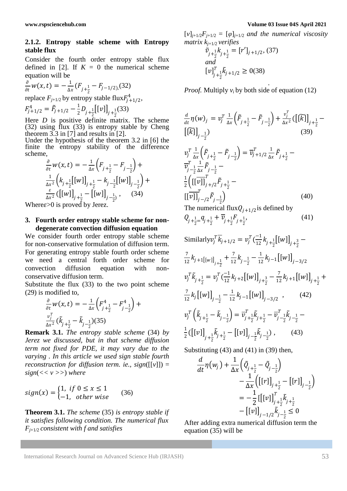# **2.1.2. Entropy stable scheme with Entropy stable flux**

Consider the fourth order entropy stable flux defined in [2]. If  $K = 0$  the numerical scheme equation will be

$$
\frac{\partial}{\partial t}w(x,t) = -\frac{1}{\Delta x}(F_{j+\frac{1}{2}} - F_{j-1/2),(32)}
$$

replace  $F_{j+1/2}$  by entropy stable flux  $F_{j+1/2}^4$ ,

$$
F_{j+1/2}^4 = \tilde{F}_{j+1/2} - \frac{1}{2} D_{j+\frac{1}{2}} [[v]]_{j+\frac{1}{2}}(33)
$$

Here *D* is positive definite matrix. The scheme (32) using flux (33) is entropy stable by Cheng theorem 3.3 in [7] and results in [2].

Under the hypothesis of the theorem 3.2 in [6] the finite the entropy stability of the difference scheme,

$$
\frac{\partial}{\partial t} w(x, t) = -\frac{1}{\Delta x} \left( F_{j + \frac{1}{2}} - F_{j - \frac{1}{2}} \right) +
$$
\n
$$
\frac{1}{\Delta x^2} \left( k_{j + \frac{1}{2}} \left[ [w] \right]_{j + \frac{1}{2}} - k_{j - \frac{1}{2}} \left[ [w] \right]_{j - \frac{1}{2}} \right) +
$$
\n
$$
\frac{\varepsilon}{\Delta x^2} \left( \left[ [w] \right]_{j + \frac{1}{2}} - \left[ [w] \right]_{j - \frac{1}{2}} \right), \quad (34)
$$

Where  $\epsilon > 0$  is proved by Jerez.

### **3. Fourth order entropy stable scheme for nondegenerate convection diffusion equation**

We consider fourth order entropy stable scheme for non-conservative formulation of diffusion term. For generating entropy stable fourth order scheme we need a central forth order scheme for convection diffusion equation with nonconservative diffusion term.

Substitute the flux (33) to the two point scheme (29) is modified to,

$$
\frac{\partial}{\partial t} w(x, t) = -\frac{1}{\Delta x} \left( F_{j + \frac{1}{2}}^4 - F_{j - \frac{1}{2}}^4 \right) + \frac{v_j^T}{\Delta x^2} \left( \tilde{k}_{j + \frac{1}{2}} - \tilde{k}_{j - \frac{1}{2}} \right) (35)
$$

**Remark 3.1.** *The entropy stable scheme* (34) *by Jerez we discussed, but in that scheme diffusion term not fixed for PDE, it may vary due to the varying . In this article we used sign stable fourth reconstruction for diffusion term. ie., sign*([[*v*]]) = *sign*(*<< v >>*) *where*

$$
sign(x) = \begin{cases} 1, & if \ 0 \le x \le 1 \\ -1, & otherwise \end{cases} \tag{36}
$$

**Theorem 3.1.** *The scheme* (35) *is entropy stable if it satisfies following condition. The numerical flux Fj*+1*/*2 *consistent with f and satisfies*

#### **www.rspsciencehub.com Volume 03 Issue 04S April 2021**

 $[v]_{j+1/2}F_{j+1/2} = [\varphi]_{j+1/2}$  *and the numerical viscosity matrix kj*+1*/*2 *verifies*

$$
\tilde{v}_{j+\frac{1}{2}}k_{j+\frac{1}{2}} = [r']_{j+1/2}, (37)
$$
  
and  

$$
[v]_{j+\frac{1}{2}}^T \tilde{k}_{j+1/2} \ge 0(38)
$$

*. Proof.* Multiply *vi* by both side of equation (12)

$$
\frac{d}{dt} \eta(w)_j = v_j^T \frac{1}{\Delta x} \left( \tilde{F}_{j + \frac{1}{2}} - \tilde{F}_{j - \frac{1}{2}} \right) + \frac{v_j^T}{\Delta x^2} \left( \left[ \tilde{K} \right] \right]_{j + \frac{1}{2}} -
$$
\n
$$
\left[ \tilde{K} \right]_{j - \frac{1}{2}} \qquad (39)
$$
\n
$$
v_j^T \frac{1}{\Delta x} \left( \tilde{F}_{j + \frac{1}{2}} - \tilde{F}_{j - \frac{1}{2}} \right) = \overline{v}_j^T + 1/2 \frac{1}{\Delta x} \tilde{F}_{j + \frac{1}{2}} -
$$
\n
$$
\overline{v}_j^T \frac{1}{-2} \frac{1}{\Delta x} \tilde{F}_{j - \frac{1}{2}} -
$$
\n
$$
\frac{1}{2} \left( \left[ \left[ \overline{v} \right] \right]_{j + \frac{1}{2}}^T \tilde{F}_{j + \frac{1}{2}} - \left[ \left[ \overline{v} \right] \right]_{j - \frac{1}{2}}^T \tilde{F}_{j - \frac{1}{2}} \right) \qquad (40)
$$

The numerical flux $Q_{j+1/2}$  is defined by

$$
Q_{j+\frac{1}{2}} = q_{j+\frac{1}{2}} + \overline{\nu}_{j+\frac{1}{2}} F_{j+\frac{1}{2}}, \qquad (41)
$$

Similarly 
$$
v_j^T \overline{k}_{j+1/2} = v_j^T \overline{\left(\frac{1}{12}k_{j+\frac{1}{2}}[w]\right)}_{j+\frac{3}{2}} - \frac{7}{12}k_{j+1}[[w]]_{j+\frac{1}{2}} + \frac{7}{12}k_{j-\frac{1}{2}} - \frac{1}{12}k_{j-1}[[w]]_{j-3/2}
$$
  
\n $v_j^T \tilde{k}_{j+\frac{1}{2}} = v_j^T \overline{\left(\frac{1}{12}k_{j+2}[w]\right)}_{j+\frac{3}{2}} - \frac{7}{12}k_{j+1}[[w]]_{j+\frac{1}{2}} + \frac{7}{12}k_j[[w]]_{j-\frac{1}{2}} - \frac{1}{12}k_{j-1}[[w]]_{j-3/2},$  (42)  
\n $v_j^T \left(\tilde{k}_{j+\frac{1}{2}} - \tilde{k}_{j-\frac{1}{2}}\right) = \overline{v}_{j+\frac{1}{2}}^T \tilde{k}_{j+\frac{1}{2}} - \overline{v}_{j-\frac{1}{2}}^T \tilde{k}_{j-\frac{1}{2}} - \frac{1}{2}([v]]_{j+\frac{1}{2}} \tilde{k}_{j+\frac{1}{2}} - [[v]]_{j-\frac{1}{2}} \tilde{k}_{j-\frac{1}{2}}),$  (43)

Substituting (43) and (41) in (39) then,

$$
\frac{d}{dt}\eta(w_j) + \frac{1}{\Delta x} \left( \tilde{Q}_{j+\frac{1}{2}} - \tilde{Q}_{j-\frac{1}{2}} \right) \n- \frac{1}{\Delta x} \left( \left[ [r] \right]_{j+\frac{1}{2}} - \left[ [r] \right]_{j-\frac{1}{2}} \right) \n= -\frac{1}{2} \left[ \left[ [v] \right]_{j+\frac{1}{2}}^T \tilde{k}_{j+\frac{1}{2}} \n- \left[ [v] \right]_{j-1/2} \tilde{k}_{j-\frac{1}{2}} \leq 0
$$

After adding extra numerical diffusion term the equation (35) will be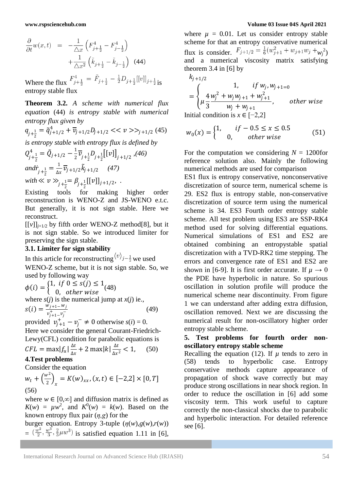$$
\frac{\partial}{\partial t} w(x,t) = -\frac{1}{\Delta x} \left( F_{j+\frac{1}{2}}^4 - F_{j-\frac{1}{2}}^4 \right) + \frac{1}{\Delta x^2} \left( \tilde{k}_{j+\frac{1}{2}} - \tilde{k}_{j-\frac{1}{2}} \right) \tag{44}
$$

Where the flux  $F_{j+\frac{1}{2}}^4 = \tilde{F}_{j+\frac{1}{2}} - \frac{1}{2}D_{j+\frac{1}{2}}[[v]]_{j+\frac{1}{2}}$  is entropy stable flux

**Theorem 3.2.** *A scheme with numerical flux equation* (44) *is entropy stable with numerical entropy flux given by*

$$
q_{j+\frac{1}{2}} = \tilde{q}_{j+1/2}^4 + \overline{\nu}_{j+1/2} D_{j+1/2} \ll \nu \gg_{j+1/2} (45)
$$

*is entropy stable with entropy flux is defined by*

$$
Q_{j+\frac{1}{2}}^4 = \tilde{Q}_{j+1/2} - \frac{1}{2} \overline{\nu}_{j+\frac{1}{2}} D_{j+\frac{1}{2}} [v]_{j+1/2} , (46)
$$
  
and $\dot{r}_{j+\frac{1}{2}} = \frac{1}{\Delta x} \overline{\nu}_{j+1/2} \tilde{k}_{j+1/2} , (47)$   
with  $\ll v \gg_{j+\frac{1}{2}} \beta_{j+\frac{1}{2}} [[v]]_{j+1/2} , .$ 

Existing tools for making higher order reconstruction is WENO-Z and JS-WENO e.t.c. But generally, it is not sign stable. Here we reconstruct.

 $[[v]]_{j+1/2}$  by fifth order WENO-Z method[8], but it is not sign stable. So we introduced limiter for preserving the sign stable.

# **3.1. Limiter for sign stability**

In this article for reconstructing  $\langle v \rangle_{j-\frac{1}{2}}$  we used WENO-Z scheme, but it is not sign stable. So, we used by following way

 $\phi(i) = \begin{cases} 1, & if \ 0 \leq s(j) \leq 1 \\ 0, & otherwise \end{cases}$ 0, other wise  $(48)$ where *s*(*j*) is the numerical jump at *x*(*j*) ie.,  $s(i) = \frac{w_{j+1}-w_j}{n+1}$  $v_{j+1}^{+}$  $v_{j}^{-}$ (49)

provided  $v_{j+1}^+ - v_j^- \neq 0$  otherwise  $s(i) = 0$ . Here we consider the general Courant-Friedrich-Lewy(CFL) condition for parabolic equations is

$$
CFL = \max |f_u| \frac{\Delta t}{\Delta x} + 2 \max |k| \frac{\Delta t}{\Delta x^2} < 1,\qquad(50)
$$

# **4.Test problems**

Consider the equation

$$
w_t + \left(\frac{w^2}{2}\right)_x = K(w)_{xx}, (x, t) \in [-2, 2] \times [0, T]
$$
\n(56)

where  $w \in [0, \infty]$  and diffusion matrix is defined as  $K(w) = \mu w^2$ , and  $K^0(w) = k(w)$ . Based on the known entropy flux pair (*η,g*) for the

burger equation. Entropy 3-tuple  $(\eta(w), g(w), r(w))$  $=$   $(\frac{w^2}{2}, \frac{w^3}{3}, \frac{2}{3}\mu w^3)$  is satisfied equation 1.11 in [6],

#### **www.rspsciencehub.com Volume 03 Issue 04S April 2021**

where  $\mu = 0.01$ . Let us consider entropy stable scheme for that an entropy conservative numerical flux is consider.  $F_{j+1/2} = \frac{1}{6}(w_{j+1}^2 + w_{j+1}w_j + w_j^2)$ and a numerical viscosity matrix satisfying theorem 3.4 in  $[6]$  by

$$
k_{j+1/2}
$$
\n
$$
= \begin{cases}\n1, & if w_j, w_{j+1=0} \\
\mu \frac{4}{3} \frac{w_j^2 + w_j w_{j+1} + w_{j+1}^2}{w_j + w_{j+1}}, & otherwise\n\end{cases}
$$
\nInitial condition is  $x \in [-2, 2]$ 

$$
w_0(x) = \begin{cases} 1, & if -0.5 \le x \le 0.5 \\ 0, & other \text{ wise} \end{cases}
$$
 (51)

For the computation we considering  $N = 1200$  for reference solution also. Mainly the following numerical methods are used for comparison

ES1 flux is entropy conservative, nonconservative discretization of source term, numerical scheme is 29. ES2 flux is entropy stable, non-conservative discretization of source term using the numerical scheme is 34. ES3 Fourth order entropy stable scheme. All test problem using ES3 are SSP-RK4 method used for solving differential equations. Numerical simulations of ES1 and ES2 are obtained combining an entropystable spatial discretization with a TVD-RK2 time stepping. The errors and convergence rate of ES1 and ES2 are shown in [6-9]. It is first order accurate. If  $\mu \rightarrow 0$ the PDE have hyperbolic in nature. So spurious oscillation in solution profile will produce the numerical scheme near discontinuity. From figure 1 we can understand after adding extra diffusion, oscillation removed. Next we are discussing the numerical result for non-oscillatory higher order entropy stable scheme.

# **5. Test problems for fourth order nonoscillatory entropy stable scheme**

Recalling the equation (12). If  $\mu$  tends to zero in (58) tends to hyperbolic case. Entropy conservative methods capture appearance of propagation of shock wave correctly but may produce strong oscillations in near shock region. In order to reduce the oscillation in [6] add some viscosity term. This work useful to capture correctly the non-classical shocks due to parabolic and hyperbolic interaction. For detailed reference see [6].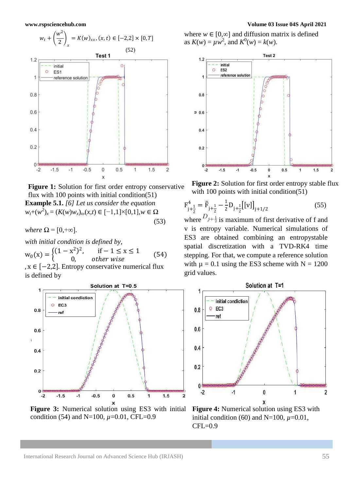

Figure 1: Solution for first order entropy conservative flux with 100 points with initial condition(51) **Example 5.1.** *[6] Let us consider the equation*  $w_t+(w^2)_x = (K(w)w_x)_x(x,t) \in [-1,1] \times [0,1], w \in Ω$ (53)

*where*  $\Omega = [0, +\infty]$ *.* 

*with initial condition is defined by,*

 $w_0(x) = \begin{cases} (1 - x^2)^2 & 0 \end{cases}$  $if - 1 \le x \le 1$ 0, other wise (54)

,  $x \in [-2,2]$ . Entropy conservative numerical flux is defined by



**Figure 3:** Numerical solution using ES3 with initial condition (54) and N=100, *µ*=0.01, CFL=0.9

where  $w \in [0, \infty]$  and diffusion matrix is defined as  $K(w) = \mu w^2$ , and  $K^0(w) = k(w)$ .



**Figure 2:** Solution for first order entropy stable flux with 100 points with initial condition(51)

$$
F_{j+\frac{1}{2}}^4 = \tilde{F}_{j+\frac{1}{2}} - \frac{1}{2} D_{j+\frac{1}{2}} [[v]]_{j+1/2}
$$
 (55)

where  $D_{j+\frac{1}{2}}$  is maximum of first derivative of f and v is entropy variable. Numerical simulations of ES3 are obtained combining an entropystable spatial discretization with a TVD-RK4 time stepping. For that, we compute a reference solution with  $\mu = 0.1$  using the ES3 scheme with  $N = 1200$ grid values.



**Figure 4:** Numerical solution using ES3 with initial condition (60) and N=100,  $\mu$ =0.01, CFL=0.9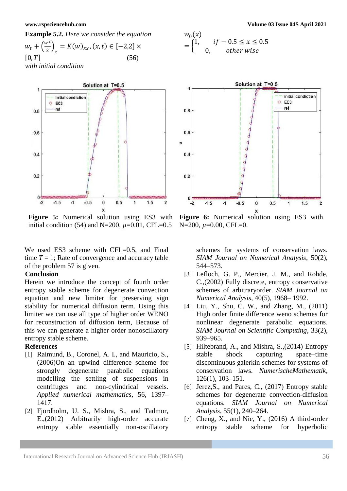



**Figure 5:** Numerical solution using ES3 with initial condition (54) and N=200,  $\mu$ =0.01, CFL=0.5

We used ES3 scheme with CFL=0.5, and Final time  $T = 1$ ; Rate of convergence and accuracy table of the problem 57 is given.

# **Conclusion**

Herein we introduce the concept of fourth order entropy stable scheme for degenerate convection equation and new limiter for preserving sign stability for numerical diffusion term. Using this limiter we can use all type of higher order WENO for reconstruction of diffusion term, Because of this we can generate a higher order nonoscillatory entropy stable scheme.

# **References**

- [1] Raimund, B., Coronel, A. I., and Mauricio, S., (2006)On an upwind difference scheme for strongly degenerate parabolic equations modelling the settling of suspensions in centrifuges and non-cylindrical vessels. *Applied numerical mathematics*, 56, 1397– 1417.
- [2] Fjordholm, U. S., Mishra, S., and Tadmor, E.,(2012) Arbitrarily high-order accurate entropy stable essentially non-oscillatory

$$
w_0(x)
$$
  
= 
$$
\begin{cases} 1, & if -0.5 \le x \le 0.5 \\ 0, & otherwise \end{cases}
$$



**Figure 6:** Numerical solution using ES3 with N=200, *µ*=0.00, CFL=0.

schemes for systems of conservation laws. *SIAM Journal on Numerical Analysis*, 50(2), 544–573.

- [3] Lefloch, G. P., Mercier, J. M., and Rohde, C.,(2002) Fully discrete, entropy conservative schemes of arbitraryorder. *SIAM Journal on Numerical Analysis*, 40(5), 1968– 1992.
- [4] Liu, Y., Shu, C. W., and Zhang, M., (2011) High order finite difference weno schemes for nonlinear degenerate parabolic equations. *SIAM Journal on Scientific Computing*, 33(2), 939–965.
- [5] Hiltebrand, A., and Mishra, S.,(2014) Entropy stable shock capturing space–time discontinuous galerkin schemes for systems of conservation laws. *NumerischeMathematik*, 126(1), 103–151.
- [6] Jerez,S., and Pares, C., (2017) Entropy stable schemes for degenerate convection-diffusion equations. *SIAM Journal on Numerical Analysis*, 55(1), 240–264.
- [7] Cheng, X., and Nie, Y.,  $(2016)$  A third-order entropy stable scheme for hyperbolic